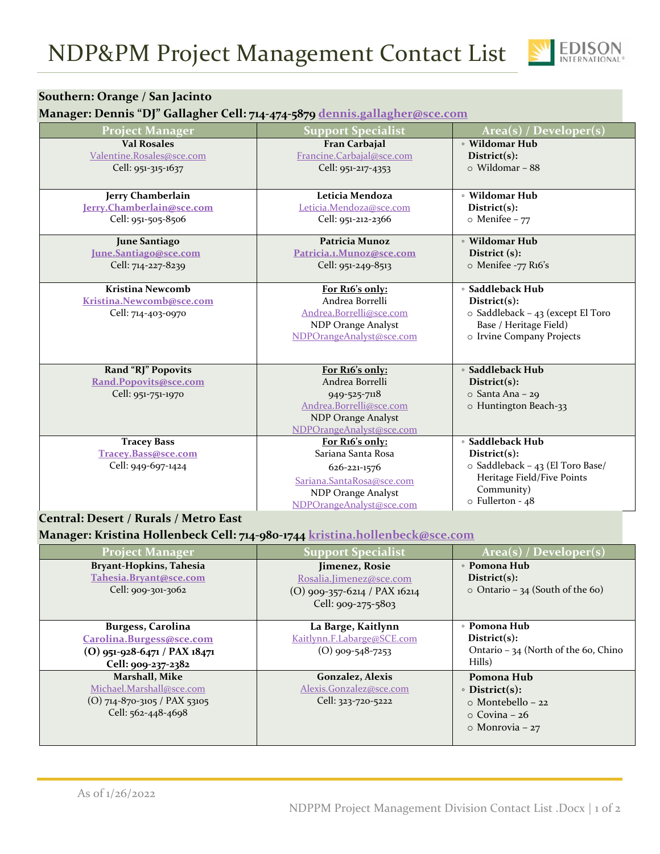

## **Southern: Orange / San Jacinto**

## **Manager: Dennis "DJ" Gallagher Cell: 714‐474‐5879 dennis.gallagher@sce.com**

| <b>Project Manager</b>       | <b>Support Specialist</b> | Area(s) / Developer(s)                  |
|------------------------------|---------------------------|-----------------------------------------|
| <b>Val Rosales</b>           | Fran Carbajal             | • Wildomar Hub                          |
| Valentine.Rosales@sce.com    | Francine.Carbajal@sce.com | District(s):                            |
| Cell: 951-315-1637           | Cell: 951-217-4353        | $\circ$ Wildomar - 88                   |
|                              |                           |                                         |
| Jerry Chamberlain            | Leticia Mendoza           | • Wildomar Hub                          |
| Jerry.Chamberlain@sce.com    | Leticia.Mendoza@sce.com   | District(s):                            |
| Cell: 951-505-8506           | Cell: 951-212-2366        | $\circ$ Menifee - 77                    |
|                              |                           |                                         |
| <b>June Santiago</b>         | Patricia Munoz            | • Wildomar Hub                          |
| <u>June.Santiago@sce.com</u> | Patricia.1.Munoz@sce.com  | District (s):                           |
| Cell: 714-227-8239           | Cell: 951-249-8513        | $\circ$ Menifee -77 R16's               |
|                              |                           |                                         |
| <b>Kristina Newcomb</b>      | For R16's only:           | • Saddleback Hub                        |
| Kristina.Newcomb@sce.com     | Andrea Borrelli           | Distribt(s):                            |
| Cell: 714-403-0970           | Andrea.Borrelli@sce.com   | $\circ$ Saddleback - 43 (except El Toro |
|                              | NDP Orange Analyst        | Base / Heritage Field)                  |
|                              | NDPOrangeAnalyst@sce.com  | o Irvine Company Projects               |
|                              |                           |                                         |
| Rand "RJ" Popovits           | For R16's only:           | • Saddleback Hub                        |
| Rand.Popovits@sce.com        | Andrea Borrelli           | District(s):                            |
| Cell: 951-751-1970           | 949-525-7118              | $\circ$ Santa Ana – 29                  |
|                              | Andrea.Borrelli@sce.com   | o Huntington Beach-33                   |
|                              | <b>NDP Orange Analyst</b> |                                         |
|                              | NDPOrangeAnalyst@sce.com  |                                         |
| <b>Tracey Bass</b>           | For R16's only:           | • Saddleback Hub                        |
| Tracey.Bass@sce.com          | Sariana Santa Rosa        | District(s):                            |
| Cell: 949-697-1424           |                           | o Saddleback - 43 (El Toro Base/        |
|                              | 626-221-1576              | Heritage Field/Five Points              |
|                              | Sariana.SantaRosa@sce.com | Community)                              |
|                              | NDP Orange Analyst        | $\circ$ Fullerton - 48                  |
|                              | NDPOrangeAnalyst@sce.com  |                                         |

## **Central: Desert / Rurals / Metro East**

**Manager: Kristina Hollenbeck Cell: 714‐980‐1744 kristina.hollenbeck@sce.com**

| <b>Project Manager</b>                                                                                       | <b>Support Specialist</b>                                                                         | Area(s) / Developer(s)                                                                                        |
|--------------------------------------------------------------------------------------------------------------|---------------------------------------------------------------------------------------------------|---------------------------------------------------------------------------------------------------------------|
| Bryant-Hopkins, Tahesia<br>Tahesia.Bryant@sce.com<br>Cell: 909-301-3062                                      | Jimenez, Rosie<br>Rosalia.Jimenez@sce.com<br>$(O)$ 909-357-6214 / PAX 16214<br>Cell: 909-275-5803 | • Pomona Hub<br>Distribt(s):<br>$\circ$ Ontario – 34 (South of the 60)                                        |
| <b>Burgess, Carolina</b><br>Carolina.Burgess@sce.com<br>$(0)$ 951-928-6471 / PAX 18471<br>Cell: 909-237-2382 | La Barge, Kaitlynn<br>Kaitlynn.F.Labarge@SCE.com<br>$(O)$ 909-548-7253                            | $\circ$ Pomona Hub<br>Distribt(s):<br>Ontario - 34 (North of the 60, Chino<br>Hills)                          |
| Marshall, Mike<br>Michael.Marshall@sce.com<br>$(O)$ 714-870-3105 / PAX 53105<br>Cell: 562-448-4698           | Gonzalez, Alexis<br>Alexis.Gonzalez@sce.com<br>Cell: 323-720-5222                                 | Pomona Hub<br>$\circ$ District(s):<br>$\circ$ Montebello – 22<br>$\circ$ Covina – 26<br>$\circ$ Monrovia – 27 |